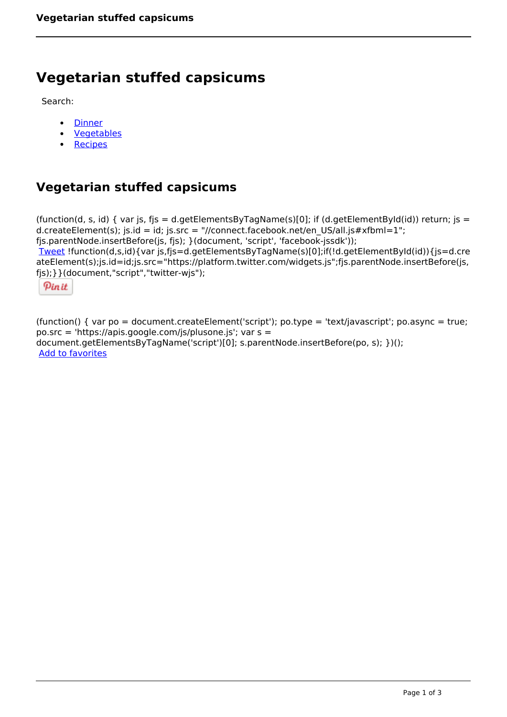## **Vegetarian stuffed capsicums**

Search:

- **[Dinner](https://www.naturalhealthmag.com.au/nourish/dinner-ideas)**  $\bullet$
- [Vegetables](https://www.naturalhealthmag.com.au/nourish/veg)  $\bullet$
- $\bullet$ **[Recipes](https://www.naturalhealthmag.com.au/nourish/recipes)**

## **Vegetarian stuffed capsicums**

```
(function(d, s, id) { var js, fjs = d.getElementsByTagName(s)[0]; if (d.getElementById(id)) return; js =
d.createElement(s); js.id = id; js.src = "//connect.facebook.net/en_US/all.js#xfbml=1";
fjs.parentNode.insertBefore(js, fjs); }(document, 'script', 'facebook-jssdk')); 
Tweet !function(d,s,id){var js,fjs=d.getElementsByTagName(s)[0];if(!d.getElementById(id)){js=d.cre
ateElement(s);js.id=id;js.src="https://platform.twitter.com/widgets.js";fjs.parentNode.insertBefore(js,
fjs);}}(document,"script","twitter-wjs"); 
  Pin it
```
(function() { var po = document.createElement('script'); po.type = 'text/javascript'; po.async = true; po.src = 'https://apis.google.com/js/plusone.js'; var s = document.getElementsByTagName('script')[0]; s.parentNode.insertBefore(po, s); })(); Add to favorites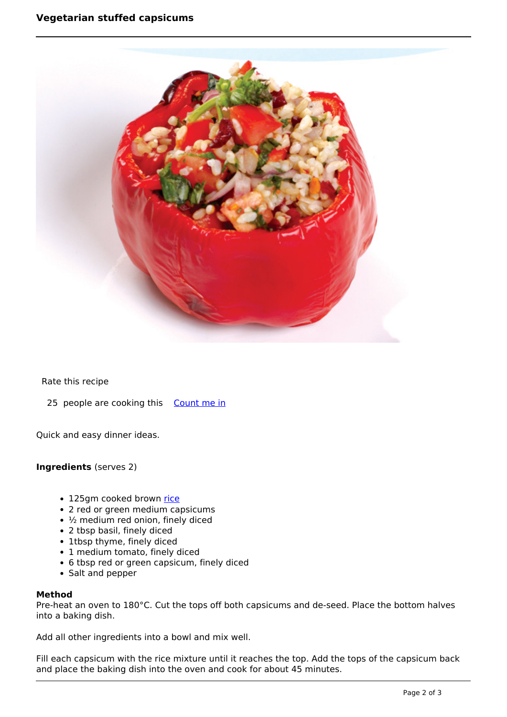

Rate this recipe

25 people are cooking this [Count me in](https://www.naturalhealthmag.com.au/flag/flag/favorites/716?destination=printpdf%2F716&token=6e899b59fa0b32bb364230cc094a6887)

Quick and easy dinner ideas.

**Ingredients** (serves 2)

- 125gm cooked brown [rice](http://www.naturalhealthmag.com.au/nourish/pasta)
- 2 red or green medium capsicums
- $\cdot$  1/<sub>2</sub> medium red onion, finely diced
- 2 tbsp basil, finely diced
- 1tbsp thyme, finely diced
- 1 medium tomato, finely diced
- 6 tbsp red or green capsicum, finely diced
- Salt and pepper

## **Method**

Pre-heat an oven to 180°C. Cut the tops off both capsicums and de-seed. Place the bottom halves into a baking dish.

Add all other ingredients into a bowl and mix well.

Fill each capsicum with the rice mixture until it reaches the top. Add the tops of the capsicum back and place the baking dish into the oven and cook for about 45 minutes.